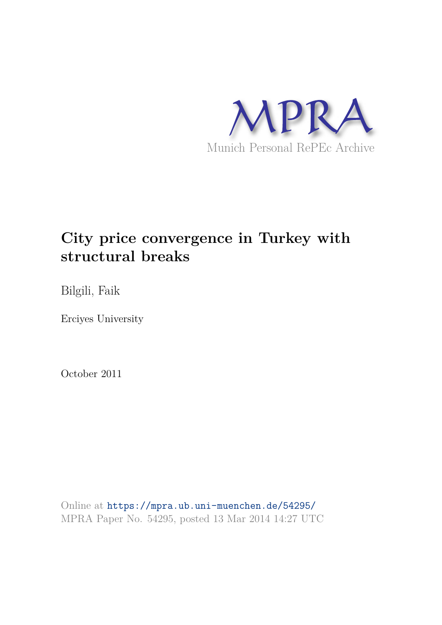

# **City price convergence in Turkey with structural breaks**

Bilgili, Faik

Erciyes University

October 2011

Online at https://mpra.ub.uni-muenchen.de/54295/ MPRA Paper No. 54295, posted 13 Mar 2014 14:27 UTC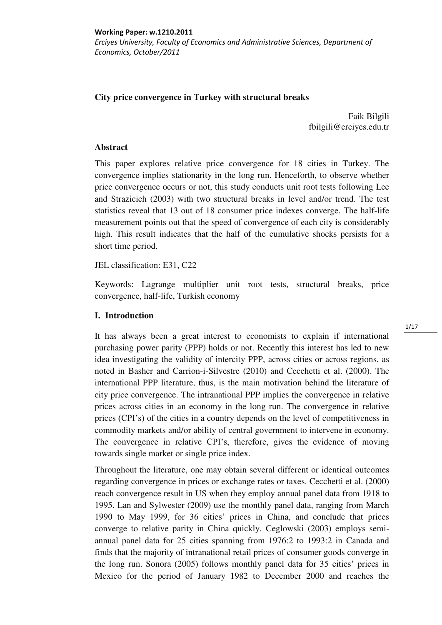**Working Paper: w.1210.2011**  *Erciyes University, Faculty of Economics and Administrative Sciences, Department of Economics, October/2011* 

# **City price convergence in Turkey with structural breaks**

Faik Bilgili fbilgili@erciyes.edu.tr

## **Abstract**

This paper explores relative price convergence for 18 cities in Turkey. The convergence implies stationarity in the long run. Henceforth, to observe whether price convergence occurs or not, this study conducts unit root tests following Lee and Strazicich (2003) with two structural breaks in level and/or trend. The test statistics reveal that 13 out of 18 consumer price indexes converge. The half-life measurement points out that the speed of convergence of each city is considerably high. This result indicates that the half of the cumulative shocks persists for a short time period.

JEL classification: E31, C22

Keywords: Lagrange multiplier unit root tests, structural breaks, price convergence, half-life, Turkish economy

## **I. Introduction**

It has always been a great interest to economists to explain if international purchasing power parity (PPP) holds or not. Recently this interest has led to new idea investigating the validity of intercity PPP, across cities or across regions, as noted in Basher and Carrion-i-Silvestre (2010) and Cecchetti et al. (2000). The international PPP literature, thus, is the main motivation behind the literature of city price convergence. The intranational PPP implies the convergence in relative prices across cities in an economy in the long run. The convergence in relative prices (CPI's) of the cities in a country depends on the level of competitiveness in commodity markets and/or ability of central government to intervene in economy. The convergence in relative CPI's, therefore, gives the evidence of moving towards single market or single price index.

Throughout the literature, one may obtain several different or identical outcomes regarding convergence in prices or exchange rates or taxes. Cecchetti et al. (2000) reach convergence result in US when they employ annual panel data from 1918 to 1995. Lan and Sylwester (2009) use the monthly panel data, ranging from March 1990 to May 1999, for 36 cities' prices in China, and conclude that prices converge to relative parity in China quickly. Ceglowski (2003) employs semiannual panel data for 25 cities spanning from 1976:2 to 1993:2 in Canada and finds that the majority of intranational retail prices of consumer goods converge in the long run. Sonora (2005) follows monthly panel data for 35 cities' prices in Mexico for the period of January 1982 to December 2000 and reaches the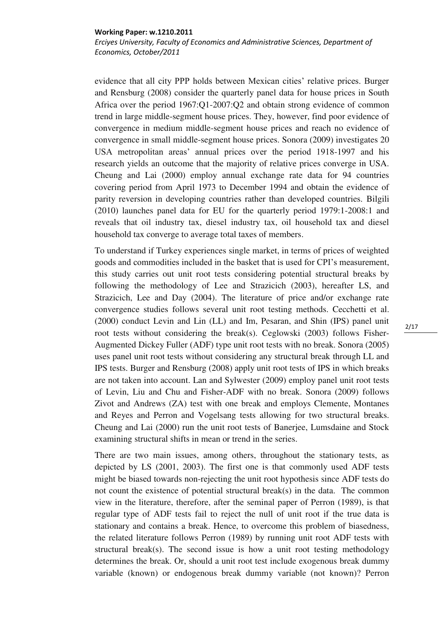*Erciyes University, Faculty of Economics and Administrative Sciences, Department of Economics, October/2011* 

evidence that all city PPP holds between Mexican cities' relative prices. Burger and Rensburg (2008) consider the quarterly panel data for house prices in South Africa over the period 1967:Q1-2007:Q2 and obtain strong evidence of common trend in large middle-segment house prices. They, however, find poor evidence of convergence in medium middle-segment house prices and reach no evidence of convergence in small middle-segment house prices. Sonora (2009) investigates 20 USA metropolitan areas' annual prices over the period 1918-1997 and his research yields an outcome that the majority of relative prices converge in USA. Cheung and Lai (2000) employ annual exchange rate data for 94 countries covering period from April 1973 to December 1994 and obtain the evidence of parity reversion in developing countries rather than developed countries. Bilgili (2010) launches panel data for EU for the quarterly period 1979:1-2008:1 and reveals that oil industry tax, diesel industry tax, oil household tax and diesel household tax converge to average total taxes of members.

To understand if Turkey experiences single market, in terms of prices of weighted goods and commodities included in the basket that is used for CPI's measurement, this study carries out unit root tests considering potential structural breaks by following the methodology of Lee and Strazicich (2003), hereafter LS, and Strazicich, Lee and Day (2004). The literature of price and/or exchange rate convergence studies follows several unit root testing methods. Cecchetti et al. (2000) conduct Levin and Lin (LL) and Im, Pesaran, and Shin (IPS) panel unit root tests without considering the break(s). Ceglowski (2003) follows Fisher-Augmented Dickey Fuller (ADF) type unit root tests with no break. Sonora (2005) uses panel unit root tests without considering any structural break through LL and IPS tests. Burger and Rensburg (2008) apply unit root tests of IPS in which breaks are not taken into account. Lan and Sylwester (2009) employ panel unit root tests of Levin, Liu and Chu and Fisher-ADF with no break. Sonora (2009) follows Zivot and Andrews (ZA) test with one break and employs Clemente, Montanes and Reyes and Perron and Vogelsang tests allowing for two structural breaks. Cheung and Lai (2000) run the unit root tests of Banerjee, Lumsdaine and Stock examining structural shifts in mean or trend in the series.

There are two main issues, among others, throughout the stationary tests, as depicted by LS (2001, 2003). The first one is that commonly used ADF tests might be biased towards non-rejecting the unit root hypothesis since ADF tests do not count the existence of potential structural break(s) in the data. The common view in the literature, therefore, after the seminal paper of Perron (1989), is that regular type of ADF tests fail to reject the null of unit root if the true data is stationary and contains a break. Hence, to overcome this problem of biasedness, the related literature follows Perron (1989) by running unit root ADF tests with structural break(s). The second issue is how a unit root testing methodology determines the break. Or, should a unit root test include exogenous break dummy variable (known) or endogenous break dummy variable (not known)? Perron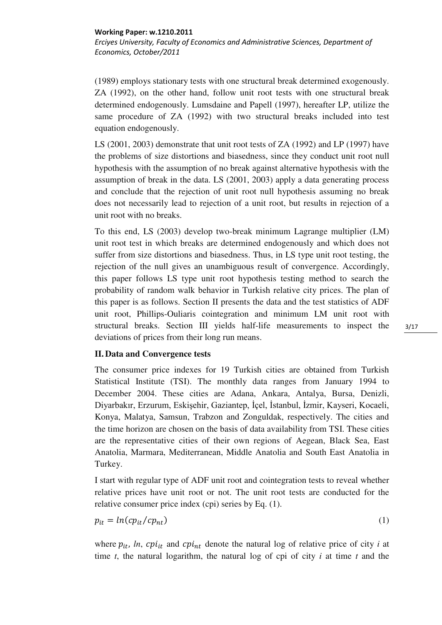*Erciyes University, Faculty of Economics and Administrative Sciences, Department of Economics, October/2011* 

(1989) employs stationary tests with one structural break determined exogenously. ZA (1992), on the other hand, follow unit root tests with one structural break determined endogenously. Lumsdaine and Papell (1997), hereafter LP, utilize the same procedure of ZA (1992) with two structural breaks included into test equation endogenously.

LS (2001, 2003) demonstrate that unit root tests of ZA (1992) and LP (1997) have the problems of size distortions and biasedness, since they conduct unit root null hypothesis with the assumption of no break against alternative hypothesis with the assumption of break in the data. LS (2001, 2003) apply a data generating process and conclude that the rejection of unit root null hypothesis assuming no break does not necessarily lead to rejection of a unit root, but results in rejection of a unit root with no breaks.

To this end, LS (2003) develop two-break minimum Lagrange multiplier (LM) unit root test in which breaks are determined endogenously and which does not suffer from size distortions and biasedness. Thus, in LS type unit root testing, the rejection of the null gives an unambiguous result of convergence. Accordingly, this paper follows LS type unit root hypothesis testing method to search the probability of random walk behavior in Turkish relative city prices. The plan of this paper is as follows. Section II presents the data and the test statistics of ADF unit root, Phillips-Ouliaris cointegration and minimum LM unit root with structural breaks. Section III yields half-life measurements to inspect the deviations of prices from their long run means.

# **II. Data and Convergence tests**

The consumer price indexes for 19 Turkish cities are obtained from Turkish Statistical Institute (TSI). The monthly data ranges from January 1994 to December 2004. These cities are Adana, Ankara, Antalya, Bursa, Denizli, Diyarbakır, Erzurum, Eskişehir, Gaziantep, İçel, İstanbul, İzmir, Kayseri, Kocaeli, Konya, Malatya, Samsun, Trabzon and Zonguldak, respectively. The cities and the time horizon are chosen on the basis of data availability from TSI. These cities are the representative cities of their own regions of Aegean, Black Sea, East Anatolia, Marmara, Mediterranean, Middle Anatolia and South East Anatolia in Turkey.

I start with regular type of ADF unit root and cointegration tests to reveal whether relative prices have unit root or not. The unit root tests are conducted for the relative consumer price index (cpi) series by Eq. (1).

$$
p_{it} = ln(c p_{it}/c p_{nt})
$$
 (1)

where  $p_{it}$ , *ln*,  $cpi_{it}$  and  $cpi_{nt}$  denote the natural log of relative price of city *i* at time *t*, the natural logarithm, the natural log of cpi of city *i* at time *t* and the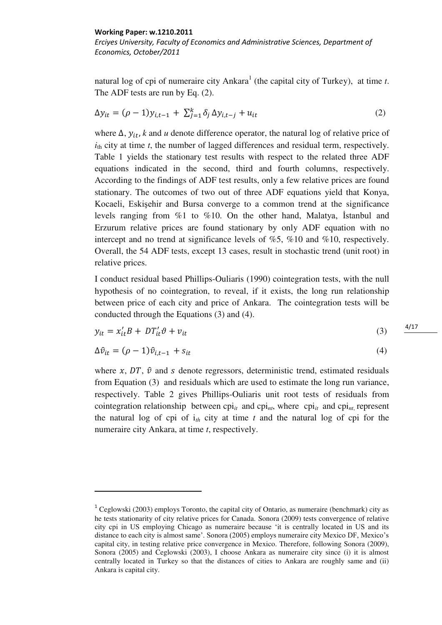<u>.</u>

*Erciyes University, Faculty of Economics and Administrative Sciences, Department of Economics, October/2011* 

natural log of cpi of numeraire city Ankara<sup>1</sup> (the capital city of Turkey), at time *t*. The ADF tests are run by Eq. (2).

$$
\Delta y_{it} = (\rho - 1)y_{i,t-1} + \sum_{j=1}^{k} \delta_j \, \Delta y_{i,t-j} + u_{it} \tag{2}
$$

where  $\Delta$ ,  $y_{it}$ , k and *u* denote difference operator, the natural log of relative price of *i*th city at time *t*, the number of lagged differences and residual term, respectively. Table 1 yields the stationary test results with respect to the related three ADF equations indicated in the second, third and fourth columns, respectively. According to the findings of ADF test results, only a few relative prices are found stationary. The outcomes of two out of three ADF equations yield that Konya, Kocaeli, Eskişehir and Bursa converge to a common trend at the significance levels ranging from %1 to %10. On the other hand, Malatya, İstanbul and Erzurum relative prices are found stationary by only ADF equation with no intercept and no trend at significance levels of %5, %10 and %10, respectively. Overall, the 54 ADF tests, except 13 cases, result in stochastic trend (unit root) in relative prices.

I conduct residual based Phillips-Ouliaris (1990) cointegration tests, with the null hypothesis of no cointegration, to reveal, if it exists, the long run relationship between price of each city and price of Ankara. The cointegration tests will be conducted through the Equations (3) and (4).

$$
y_{it} = x_{it}'B + DT_{it}'\vartheta + v_{it} \tag{3}
$$

$$
\Delta \hat{v}_{it} = (\rho - 1)\hat{v}_{i,t-1} + s_{it} \tag{4}
$$

where  $x$ ,  $DT$ ,  $\hat{v}$  and s denote regressors, deterministic trend, estimated residuals from Equation (3) and residuals which are used to estimate the long run variance, respectively. Table 2 gives Phillips-Ouliaris unit root tests of residuals from cointegration relationship between  $\text{cpi}_{it}$  and  $\text{cpi}_{nt}$ , where  $\text{cpi}_{it}$  and  $\text{cpi}_{nt}$ , represent the natural log of cpi of i*th* city at time *t* and the natural log of cpi for the numeraire city Ankara, at time *t*, respectively.

<sup>&</sup>lt;sup>1</sup> Ceglowski (2003) employs Toronto, the capital city of Ontario, as numeraire (benchmark) city as he tests stationarity of city relative prices for Canada. Sonora (2009) tests convergence of relative city cpi in US employing Chicago as numeraire because 'it is centrally located in US and its distance to each city is almost same'. Sonora (2005) employs numeraire city Mexico DF, Mexico's capital city, in testing relative price convergence in Mexico. Therefore, following Sonora (2009), Sonora (2005) and Ceglowski (2003), I choose Ankara as numeraire city since (i) it is almost centrally located in Turkey so that the distances of cities to Ankara are roughly same and (ii) Ankara is capital city.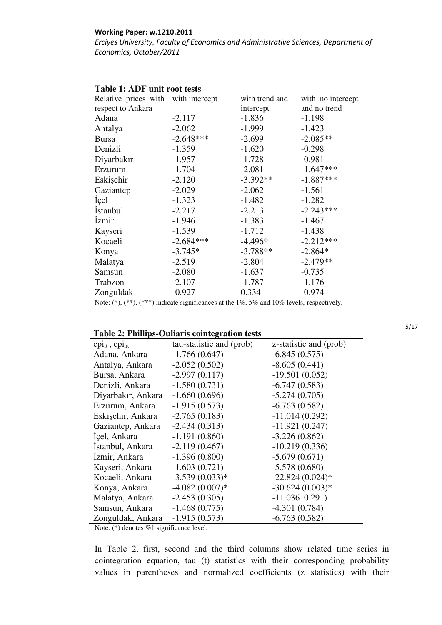*Erciyes University, Faculty of Economics and Administrative Sciences, Department of Economics, October/2011* 

| Relative prices with with intercept |             | with trend and | with no intercept |
|-------------------------------------|-------------|----------------|-------------------|
| respect to Ankara                   |             | intercept      | and no trend      |
| Adana                               | $-2.117$    | $-1.836$       | $-1.198$          |
| Antalya                             | $-2.062$    | $-1.999$       | $-1.423$          |
| <b>Bursa</b>                        | $-2.648***$ | $-2.699$       | $-2.085**$        |
| Denizli                             | $-1.359$    | $-1.620$       | $-0.298$          |
| Diyarbakır                          | $-1.957$    | $-1.728$       | $-0.981$          |
| Erzurum                             | $-1.704$    | $-2.081$       | $-1.647***$       |
| Eskişehir                           | $-2.120$    | $-3.392**$     | $-1.887***$       |
| Gaziantep                           | $-2.029$    | $-2.062$       | $-1.561$          |
| <i>icel</i>                         | $-1.323$    | $-1.482$       | $-1.282$          |
| <i>Istanbul</i>                     | $-2.217$    | $-2.213$       | $-2.243***$       |
| <b>Izmir</b>                        | $-1.946$    | $-1.383$       | $-1.467$          |
| Kayseri                             | $-1.539$    | $-1.712$       | $-1.438$          |
| Kocaeli                             | $-2.684***$ | $-4.496*$      | $-2.212***$       |
| Konya                               | $-3.745*$   | $-3.788**$     | $-2.864*$         |
| Malatya                             | $-2.519$    | $-2.804$       | $-2.479**$        |
| Samsun                              | $-2.080$    | $-1.637$       | $-0.735$          |
| Trabzon                             | $-2.107$    | $-1.787$       | $-1.176$          |
| Zonguldak                           | $-0.927$    | 0.334          | $-0.974$          |

# **Table 1: ADF unit root tests**

Note: (\*), (\*\*), (\*\*\*) indicate significances at the 1%, 5% and 10% levels, respectively.

## **Table 2: Phillips-Ouliaris cointegration tests**

| $\text{cpi}_{it}$ , $\text{cpi}_{nt}$ | tau-statistic and (prob) | z-statistic and (prob) |
|---------------------------------------|--------------------------|------------------------|
| Adana, Ankara                         | $-1.766(0.647)$          | $-6.845(0.575)$        |
| Antalya, Ankara                       | $-2.052(0.502)$          | $-8.605(0.441)$        |
| Bursa, Ankara                         | $-2.997(0.117)$          | $-19.501(0.052)$       |
| Denizli, Ankara                       | $-1.580(0.731)$          | $-6.747(0.583)$        |
| Diyarbakır, Ankara                    | $-1.660(0.696)$          | $-5.274(0.705)$        |
| Erzurum, Ankara                       | $-1.915(0.573)$          | $-6.763(0.582)$        |
| Eskişehir, Ankara                     | $-2.765(0.183)$          | $-11.014(0.292)$       |
| Gaziantep, Ankara                     | $-2.434(0.313)$          | $-11.921(0.247)$       |
| Içel, Ankara                          | $-1.191(0.860)$          | $-3.226(0.862)$        |
| İstanbul, Ankara                      | $-2.119(0.467)$          | $-10.219(0.336)$       |
| Izmir, Ankara                         | $-1.396(0.800)$          | $-5.679(0.671)$        |
| Kayseri, Ankara                       | $-1.603(0.721)$          | $-5.578(0.680)$        |
| Kocaeli, Ankara                       | $-3.539(0.033)*$         | $-22.824(0.024)$ *     |
| Konya, Ankara                         | $-4.082(0.007)*$         | $-30.624(0.003)*$      |
| Malatya, Ankara                       | $-2.453(0.305)$          | $-11.036$ 0.291)       |
| Samsun, Ankara                        | $-1.468(0.775)$          | $-4.301(0.784)$        |
| Zonguldak, Ankara                     | $-1.915(0.573)$          | $-6.763(0.582)$        |

Note: (\*) denotes %1 significance level.

In Table 2, first, second and the third columns show related time series in cointegration equation, tau (t) statistics with their corresponding probability values in parentheses and normalized coefficients (z statistics) with their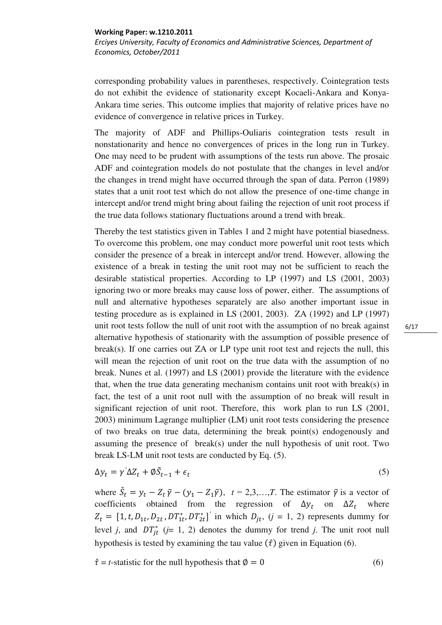*Erciyes University, Faculty of Economics and Administrative Sciences, Department of Economics, October/2011* 

corresponding probability values in parentheses, respectively. Cointegration tests do not exhibit the evidence of stationarity except Kocaeli-Ankara and Konya-Ankara time series. This outcome implies that majority of relative prices have no evidence of convergence in relative prices in Turkey.

The majority of ADF and Phillips-Ouliaris cointegration tests result in nonstationarity and hence no convergences of prices in the long run in Turkey. One may need to be prudent with assumptions of the tests run above. The prosaic ADF and cointegration models do not postulate that the changes in level and/or the changes in trend might have occurred through the span of data. Perron (1989) states that a unit root test which do not allow the presence of one-time change in intercept and/or trend might bring about failing the rejection of unit root process if the true data follows stationary fluctuations around a trend with break.

Thereby the test statistics given in Tables 1 and 2 might have potential biasedness. To overcome this problem, one may conduct more powerful unit root tests which consider the presence of a break in intercept and/or trend. However, allowing the existence of a break in testing the unit root may not be sufficient to reach the desirable statistical properties. According to LP (1997) and LS (2001, 2003) ignoring two or more breaks may cause loss of power, either. The assumptions of null and alternative hypotheses separately are also another important issue in testing procedure as is explained in LS (2001, 2003). ZA (1992) and LP (1997) unit root tests follow the null of unit root with the assumption of no break against alternative hypothesis of stationarity with the assumption of possible presence of break(s). If one carries out ZA or LP type unit root test and rejects the null, this will mean the rejection of unit root on the true data with the assumption of no break. Nunes et al. (1997) and LS (2001) provide the literature with the evidence that, when the true data generating mechanism contains unit root with break(s) in fact, the test of a unit root null with the assumption of no break will result in significant rejection of unit root. Therefore, this work plan to run LS (2001, 2003) minimum Lagrange multiplier (LM) unit root tests considering the presence of two breaks on true data, determining the break point(s) endogenously and assuming the presence of break(s) under the null hypothesis of unit root. Two break LS-LM unit root tests are conducted by Eq. (5).

$$
\Delta y_t = \gamma' \Delta Z_t + \emptyset \tilde{S}_{t-1} + \epsilon_t \tag{5}
$$

where  $\tilde{S}_t = y_t - Z_t \tilde{\gamma} - (y_1 - Z_1 \tilde{\gamma})$ ,  $t = 2, 3, ..., T$ . The estimator  $\tilde{\gamma}$  is a vector of coefficients obtained from the regression of  $\Delta y_t$  on where  $Z_t = [1, t, D_{1t}, D_{2t}, DT_{1t}^*, DT_{2t}^*]'$  in which  $D_{jt}$ ,  $(j = 1, 2)$  represents dummy for level *j*, and  $DT_{it}^{*}$  (*j*= 1, 2) denotes the dummy for trend *j*. The unit root null hypothesis is tested by examining the tau value  $(\hat{\tau})$  given in Equation (6).

 $\hat{\tau} = t$ -statistic for the null hypothesis that  $\emptyset = 0$  (6)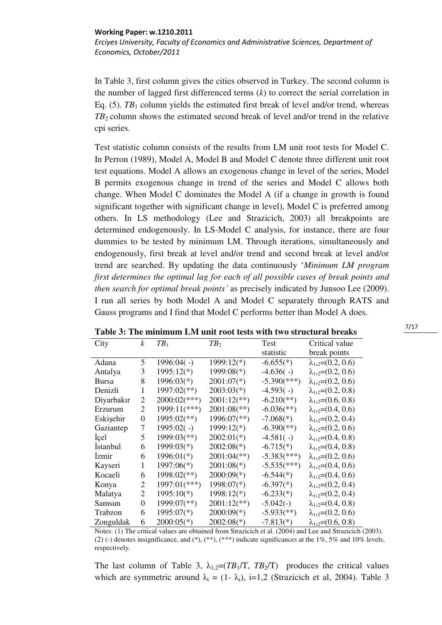*Erciyes University, Faculty of Economics and Administrative Sciences, Department of Economics, October/2011* 

In Table 3, first column gives the cities observed in Turkey. The second column is the number of lagged first differenced terms (*k*) to correct the serial correlation in Eq.  $(5)$ . *TB*<sub>1</sub> column yields the estimated first break of level and/or trend, whereas *TB*2 column shows the estimated second break of level and/or trend in the relative cpi series.

Test statistic column consists of the results from LM unit root tests for Model C. In Perron (1989), Model A, Model B and Model C denote three different unit root test equations. Model A allows an exogenous change in level of the series, Model B permits exogenous change in trend of the series and Model C allows both change. When Model C dominates the Model A (if a change in growth is found significant together with significant change in level), Model C is preferred among others. In LS methodology (Lee and Strazicich, 2003) all breakpoints are determined endogenously. In LS-Model C analysis, for instance, there are four dummies to be tested by minimum LM. Through iterations, simultaneously and endogenously, first break at level and/or trend and second break at level and/or trend are searched. By updating the data continuously '*Minimum LM program first determines the optimal lag for each of all possible cases of break points and then search for optimal break points'* as precisely indicated by Junsoo Lee (2009). I run all series by both Model A and Model C separately through RATS and Gauss programs and I find that Model C performs better than Model A does.

| City         | $\boldsymbol{k}$ | TB <sub>1</sub>           | TB <sub>2</sub>             | Test                       | Critical value               |
|--------------|------------------|---------------------------|-----------------------------|----------------------------|------------------------------|
|              |                  |                           |                             | statistic                  | break points                 |
| Adana        | 5                | $1996:04( - )$            | 1999:12(*)                  | $-6.655(*)$                | $\lambda_{1,2}=(0.2, 0.6)$   |
| Antalya      | 3                | 1995:12(*)                | $1999:08(*)$                | $-4.636(-)$                | $\lambda_{1,2}=(0.2, 0.6)$   |
| <b>Bursa</b> | 8                | $1996:03(*)$              | $2001:07(*)$                | $-5.390$ (***)             | $\lambda_{1,2} = (0.2, 0.6)$ |
| Denizli      | 1                | 1997:02(**)               | $2003:03(*)$                | $-4.593(-)$                | $\lambda_{1,2}=(0.2, 0.8)$   |
| Diyarbakır   | 2                | $2000:02$ (***)           | $2001:12(**)$               | $-6.210(**)$               | $\lambda_{1,2} = (0.6, 0.8)$ |
| Erzurum      | 2                | 1999:11(***)              | $2001:08$ <sup>(**)</sup> ) | $-6.036$ <sup>(**)</sup> ) | $\lambda_{1,2} = (0.4, 0.6)$ |
| Eskişehir    | 0                | $1995:02$ <sup>(**)</sup> | $1996:07$ <sup>(**)</sup> ) | $-7.068(*)$                | $\lambda_{1,2}=(0.2, 0.4)$   |
| Gaziantep    | 7                | $1995:02(-)$              | 1999:12(*)                  | $-6.390$ <sup>(**)</sup> ) | $\lambda_{1,2}=(0.2, 0.6)$   |
| Içel         | 5                | 1999:03(**)               | $2002:01(*)$                | $-4.581(-)$                | $\lambda_{1,2} = (0.4, 0.8)$ |
| Istanbul     | 6                | 1999:03(*)                | $2002:08(*)$                | $-6.715(*)$                | $\lambda_{1,2} = (0.4, 0.8)$ |
| Izmir        | 6                | $1996:01(*)$              | $2001:04(**)$               | $-5.383$ <sup>(***</sup> ) | $\lambda_{1,2}=(0.2, 0.6)$   |
| Kayseri      | 1                | 1997:06(*)                | $2001:08(*)$                | $-5.535(***)$              | $\lambda_{1,2} = (0.4, 0.6)$ |
| Kocaeli      | 6                | 1998:02(**)               | $2000:09(*)$                | $-6.544(*)$                | $\lambda_{1,2} = (0.4, 0.6)$ |
| Konya        | 2                | 1997:01(***)              | $1998:07(*)$                | $-6.397(*)$                | $\lambda_{1,2}=(0.2, 0.4)$   |
| Malatya      | 2                | $1995:10(*)$              | 1998:12(*)                  | $-6.233(*)$                | $\lambda_{1,2}=(0.2, 0.4)$   |
| Samsun       | $\Omega$         | 1999:07(**)               | $2001:12(**)$               | $-5.042(-)$                | $\lambda_{1,2} = (0.4, 0.8)$ |
| Trabzon      | 6                | $1995:07(*)$              | $2000:09(*)$                | $-5.933$ <sup>(**)</sup> ) | $\lambda_{1,2}=(0.2, 0.6)$   |
| Zonguldak    | 6                | $2000:05(*)$              | $2002:08(*)$                | $-7.813(*)$                | $\lambda_{1,2}=(0.6, 0.8)$   |

**Table 3: The minimum LM unit root tests with two structural breaks** 

Notes: (1) The critical values are obtained from Strazicich et al. (2004) and Lee and Strazicich (2003). (2) (-) denotes insignificance, and (\*),  $(*^*), (*^*)$ , indicate significances at the 1%, 5% and 10% levels, respectively.

The last column of Table 3,  $\lambda_{1,2} = (TB_1/T, TB_2/T)$  produces the critical values which are symmetric around  $\lambda_i = (1 - \lambda_i)$ , i=1,2 (Strazicich et al, 2004). Table 3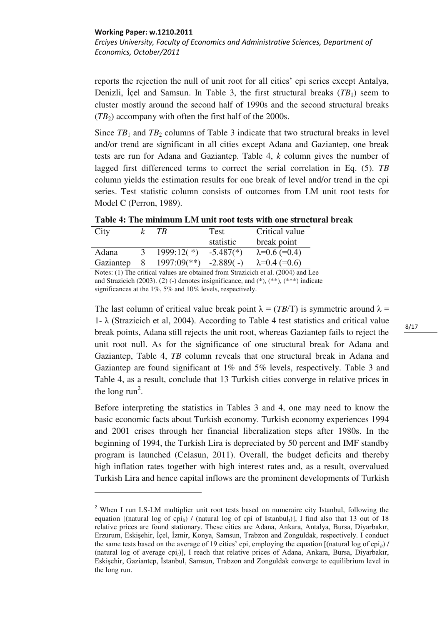.<br>-

*Erciyes University, Faculty of Economics and Administrative Sciences, Department of Economics, October/2011* 

reports the rejection the null of unit root for all cities' cpi series except Antalya, Denizli, İçel and Samsun. In Table 3, the first structural breaks (*TB*1) seem to cluster mostly around the second half of 1990s and the second structural breaks  $(TB_2)$  accompany with often the first half of the 2000s.

Since  $TB_1$  and  $TB_2$  columns of Table 3 indicate that two structural breaks in level and/or trend are significant in all cities except Adana and Gaziantep, one break tests are run for Adana and Gaziantep. Table 4, *k* column gives the number of lagged first differenced terms to correct the serial correlation in Eq. (5). *TB* column yields the estimation results for one break of level and/or trend in the cpi series. Test statistic column consists of outcomes from LM unit root tests for Model C (Perron, 1989).

| Table 4: The minimum LM unit root tests with one structural break |  |  |  |
|-------------------------------------------------------------------|--|--|--|
|                                                                   |  |  |  |

| City                                                             |   | TB.                       | Test        | Critical value         |
|------------------------------------------------------------------|---|---------------------------|-------------|------------------------|
|                                                                  |   |                           | statistic   | break point            |
| Adana                                                            |   | $1999:12(*)$              | $-5.487(*)$ | $\lambda = 0.6$ (=0.4) |
| Gaziantep                                                        | 8 | $1997:09$ <sup>(**)</sup> | $-2.889(-)$ | $\lambda = 0.4$ (=0.6) |
| $\mathbf{M}$ $\mathbf{M}$ $\mathbf{M}$ $\mathbf{M}$ $\mathbf{M}$ |   |                           |             | $0.$ $1.0001$          |

Notes: (1) The critical values are obtained from Strazicich et al. (2004) and Lee and Strazicich (2003). (2) (-) denotes insignificance, and  $(*$ ,  $(**)$ ,  $(**)$  indicate significances at the 1%, 5% and 10% levels, respectively.

The last column of critical value break point  $\lambda = (TB/T)$  is symmetric around  $\lambda =$ 1-  $\lambda$  (Strazicich et al, 2004). According to Table 4 test statistics and critical value break points, Adana still rejects the unit root, whereas Gaziantep fails to reject the unit root null. As for the significance of one structural break for Adana and Gaziantep, Table 4, *TB* column reveals that one structural break in Adana and Gaziantep are found significant at 1% and 5% levels, respectively. Table 3 and Table 4, as a result, conclude that 13 Turkish cities converge in relative prices in the long run<sup>2</sup>.

Before interpreting the statistics in Tables 3 and 4, one may need to know the basic economic facts about Turkish economy. Turkish economy experiences 1994 and 2001 crises through her financial liberalization steps after 1980s. In the beginning of 1994, the Turkish Lira is depreciated by 50 percent and IMF standby program is launched (Celasun, 2011). Overall, the budget deficits and thereby high inflation rates together with high interest rates and, as a result, overvalued Turkish Lira and hence capital inflows are the prominent developments of Turkish

<sup>&</sup>lt;sup>2</sup> When I run LS-LM multiplier unit root tests based on numeraire city Istanbul, following the equation  $[(natural \log \of{cpi_i})/$  (natural log of cpi of Istanbul<sub>i</sub>)], I find also that 13 out of 18 relative prices are found stationary. These cities are Adana, Ankara, Antalya, Bursa, Diyarbakır, Erzurum, Eskişehir, İçel, İzmir, Konya, Samsun, Trabzon and Zonguldak, respectively. I conduct the same tests based on the average of 19 cities' cpi, employing the equation [(natural log of cpi<sub>ii</sub>) / (natural log of average cpi*t*)], I reach that relative prices of Adana, Ankara, Bursa, Diyarbakır, Eskişehir, Gaziantep, İstanbul, Samsun, Trabzon and Zonguldak converge to equilibrium level in the long run.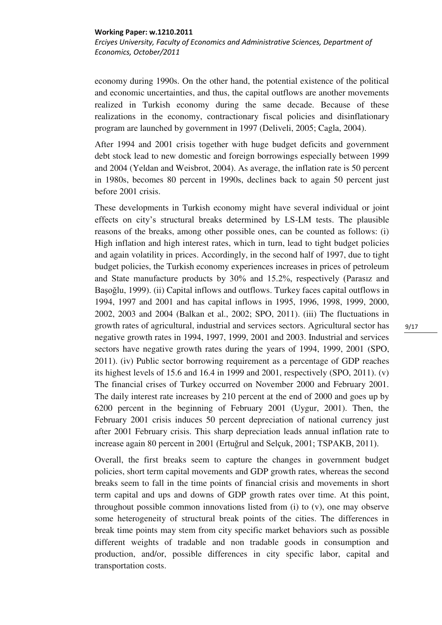*Erciyes University, Faculty of Economics and Administrative Sciences, Department of Economics, October/2011* 

economy during 1990s. On the other hand, the potential existence of the political and economic uncertainties, and thus, the capital outflows are another movements realized in Turkish economy during the same decade. Because of these realizations in the economy, contractionary fiscal policies and disinflationary program are launched by government in 1997 (Deliveli, 2005; Cagla, 2004).

After 1994 and 2001 crisis together with huge budget deficits and government debt stock lead to new domestic and foreign borrowings especially between 1999 and 2004 (Yeldan and Weisbrot, 2004). As average, the inflation rate is 50 percent in 1980s, becomes 80 percent in 1990s, declines back to again 50 percent just before 2001 crisis.

These developments in Turkish economy might have several individual or joint effects on city's structural breaks determined by LS-LM tests. The plausible reasons of the breaks, among other possible ones, can be counted as follows: (i) High inflation and high interest rates, which in turn, lead to tight budget policies and again volatility in prices. Accordingly, in the second half of 1997, due to tight budget policies, the Turkish economy experiences increases in prices of petroleum and State manufacture products by 30% and 15.2%, respectively (Parasız and Başoğlu, 1999). (ii) Capital inflows and outflows. Turkey faces capital outflows in 1994, 1997 and 2001 and has capital inflows in 1995, 1996, 1998, 1999, 2000, 2002, 2003 and 2004 (Balkan et al., 2002; SPO, 2011). (iii) The fluctuations in growth rates of agricultural, industrial and services sectors. Agricultural sector has negative growth rates in 1994, 1997, 1999, 2001 and 2003. Industrial and services sectors have negative growth rates during the years of 1994, 1999, 2001 (SPO, 2011). (iv) Public sector borrowing requirement as a percentage of GDP reaches its highest levels of 15.6 and 16.4 in 1999 and 2001, respectively (SPO, 2011). (v) The financial crises of Turkey occurred on November 2000 and February 2001. The daily interest rate increases by 210 percent at the end of 2000 and goes up by 6200 percent in the beginning of February 2001 (Uygur, 2001). Then, the February 2001 crisis induces 50 percent depreciation of national currency just after 2001 February crisis. This sharp depreciation leads annual inflation rate to increase again 80 percent in 2001 (Ertuğrul and Selçuk, 2001; TSPAKB, 2011).

Overall, the first breaks seem to capture the changes in government budget policies, short term capital movements and GDP growth rates, whereas the second breaks seem to fall in the time points of financial crisis and movements in short term capital and ups and downs of GDP growth rates over time. At this point, throughout possible common innovations listed from (i) to (v), one may observe some heterogeneity of structural break points of the cities. The differences in break time points may stem from city specific market behaviors such as possible different weights of tradable and non tradable goods in consumption and production, and/or, possible differences in city specific labor, capital and transportation costs.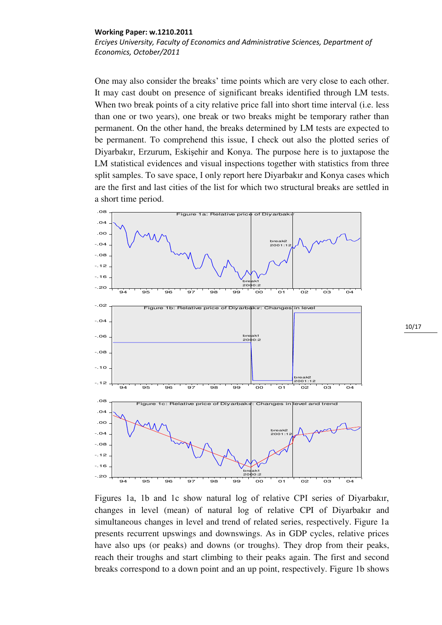*Erciyes University, Faculty of Economics and Administrative Sciences, Department of Economics, October/2011* 

One may also consider the breaks' time points which are very close to each other. It may cast doubt on presence of significant breaks identified through LM tests. When two break points of a city relative price fall into short time interval (i.e. less than one or two years), one break or two breaks might be temporary rather than permanent. On the other hand, the breaks determined by LM tests are expected to be permanent. To comprehend this issue, I check out also the plotted series of Diyarbakır, Erzurum, Eskişehir and Konya. The purpose here is to juxtapose the LM statistical evidences and visual inspections together with statistics from three split samples. To save space, I only report here Diyarbakır and Konya cases which are the first and last cities of the list for which two structural breaks are settled in a short time period.



Figures 1a, 1b and 1c show natural log of relative CPI series of Diyarbakır, changes in level (mean) of natural log of relative CPI of Diyarbakır and simultaneous changes in level and trend of related series, respectively. Figure 1a presents recurrent upswings and downswings. As in GDP cycles, relative prices have also ups (or peaks) and downs (or troughs). They drop from their peaks, reach their troughs and start climbing to their peaks again. The first and second breaks correspond to a down point and an up point, respectively. Figure 1b shows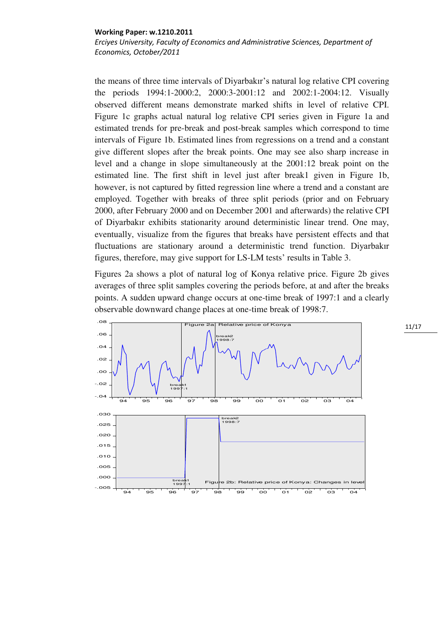*Erciyes University, Faculty of Economics and Administrative Sciences, Department of Economics, October/2011* 

the means of three time intervals of Diyarbakır's natural log relative CPI covering the periods 1994:1-2000:2, 2000:3-2001:12 and 2002:1-2004:12. Visually observed different means demonstrate marked shifts in level of relative CPI. Figure 1c graphs actual natural log relative CPI series given in Figure 1a and estimated trends for pre-break and post-break samples which correspond to time intervals of Figure 1b. Estimated lines from regressions on a trend and a constant give different slopes after the break points. One may see also sharp increase in level and a change in slope simultaneously at the 2001:12 break point on the estimated line. The first shift in level just after break1 given in Figure 1b, however, is not captured by fitted regression line where a trend and a constant are employed. Together with breaks of three split periods (prior and on February 2000, after February 2000 and on December 2001 and afterwards) the relative CPI of Diyarbakır exhibits stationarity around deterministic linear trend. One may, eventually, visualize from the figures that breaks have persistent effects and that fluctuations are stationary around a deterministic trend function. Diyarbakır figures, therefore, may give support for LS-LM tests' results in Table 3.

Figures 2a shows a plot of natural log of Konya relative price. Figure 2b gives averages of three split samples covering the periods before, at and after the breaks points. A sudden upward change occurs at one-time break of 1997:1 and a clearly observable downward change places at one-time break of 1998:7.

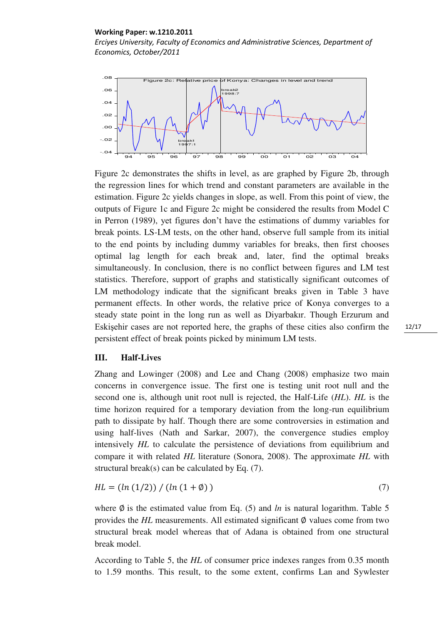*Erciyes University, Faculty of Economics and Administrative Sciences, Department of Economics, October/2011* 



Figure 2c demonstrates the shifts in level, as are graphed by Figure 2b, through the regression lines for which trend and constant parameters are available in the estimation. Figure 2c yields changes in slope, as well. From this point of view, the outputs of Figure 1c and Figure 2c might be considered the results from Model C in Perron (1989), yet figures don't have the estimations of dummy variables for break points. LS-LM tests, on the other hand, observe full sample from its initial to the end points by including dummy variables for breaks, then first chooses optimal lag length for each break and, later, find the optimal breaks simultaneously. In conclusion, there is no conflict between figures and LM test statistics. Therefore, support of graphs and statistically significant outcomes of LM methodology indicate that the significant breaks given in Table 3 have permanent effects. In other words, the relative price of Konya converges to a steady state point in the long run as well as Diyarbakır. Though Erzurum and Eskişehir cases are not reported here, the graphs of these cities also confirm the persistent effect of break points picked by minimum LM tests.

# **III. Half-Lives**

Zhang and Lowinger (2008) and Lee and Chang (2008) emphasize two main concerns in convergence issue. The first one is testing unit root null and the second one is, although unit root null is rejected, the Half-Life (*HL*). *HL* is the time horizon required for a temporary deviation from the long-run equilibrium path to dissipate by half. Though there are some controversies in estimation and using half-lives (Nath and Sarkar, 2007), the convergence studies employ intensively *HL* to calculate the persistence of deviations from equilibrium and compare it with related *HL* literature (Sonora, 2008). The approximate *HL* with structural break(s) can be calculated by Eq. (7).

$$
HL = (ln (1/2)) / (ln (1 + \phi))
$$
\n(7)

where  $\emptyset$  is the estimated value from Eq. (5) and *ln* is natural logarithm. Table 5 provides the  $HL$  measurements. All estimated significant  $\emptyset$  values come from two structural break model whereas that of Adana is obtained from one structural break model.

According to Table 5, the *HL* of consumer price indexes ranges from 0.35 month to 1.59 months. This result, to the some extent, confirms Lan and Sywlester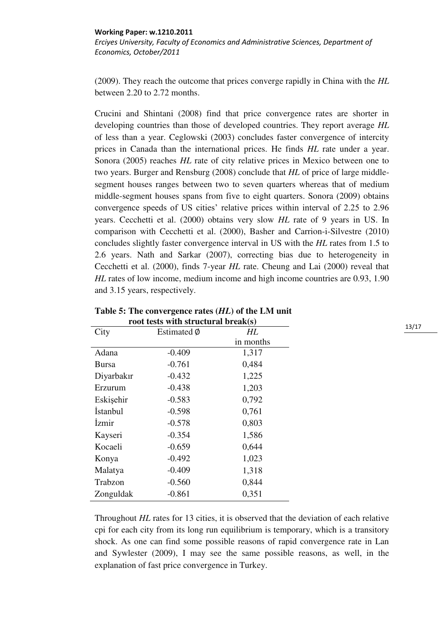*Erciyes University, Faculty of Economics and Administrative Sciences, Department of Economics, October/2011* 

(2009). They reach the outcome that prices converge rapidly in China with the *HL* between 2.20 to 2.72 months.

Crucini and Shintani (2008) find that price convergence rates are shorter in developing countries than those of developed countries. They report average *HL* of less than a year. Ceglowski (2003) concludes faster convergence of intercity prices in Canada than the international prices. He finds *HL* rate under a year. Sonora (2005) reaches *HL* rate of city relative prices in Mexico between one to two years. Burger and Rensburg (2008) conclude that *HL* of price of large middlesegment houses ranges between two to seven quarters whereas that of medium middle-segment houses spans from five to eight quarters. Sonora (2009) obtains convergence speeds of US cities' relative prices within interval of 2.25 to 2.96 years. Cecchetti et al. (2000) obtains very slow *HL* rate of 9 years in US. In comparison with Cecchetti et al. (2000), Basher and Carrion-i-Silvestre (2010) concludes slightly faster convergence interval in US with the *HL* rates from 1.5 to 2.6 years. Nath and Sarkar (2007), correcting bias due to heterogeneity in Cecchetti et al. (2000), finds 7-year *HL* rate. Cheung and Lai (2000) reveal that *HL* rates of low income, medium income and high income countries are 0.93, 1.90 and 3.15 years, respectively.

| Toot tests with structural diversity |             |           |  |  |
|--------------------------------------|-------------|-----------|--|--|
| City                                 | Estimated Ø | HL        |  |  |
|                                      |             | in months |  |  |
| Adana                                | $-0.409$    | 1,317     |  |  |
| <b>Bursa</b>                         | $-0.761$    | 0,484     |  |  |
| Diyarbakır                           | $-0.432$    | 1,225     |  |  |
| Erzurum                              | $-0.438$    | 1,203     |  |  |
| Eskişehir                            | $-0.583$    | 0,792     |  |  |
| <i>Istanbul</i>                      | $-0.598$    | 0,761     |  |  |
| <i>Izmir</i>                         | $-0.578$    | 0,803     |  |  |
| Kayseri                              | $-0.354$    | 1,586     |  |  |
| Kocaeli                              | $-0.659$    | 0,644     |  |  |
| Konya                                | $-0.492$    | 1,023     |  |  |
| Malatya                              | $-0.409$    | 1,318     |  |  |
| Trabzon                              | $-0.560$    | 0,844     |  |  |
| Zonguldak                            | $-0.861$    | 0,351     |  |  |

**Table 5: The convergence rates (***HL***) of the LM unit root tests with structural break(s)** 

Throughout *HL* rates for 13 cities, it is observed that the deviation of each relative cpi for each city from its long run equilibrium is temporary, which is a transitory shock. As one can find some possible reasons of rapid convergence rate in Lan and Sywlester (2009), I may see the same possible reasons, as well, in the explanation of fast price convergence in Turkey.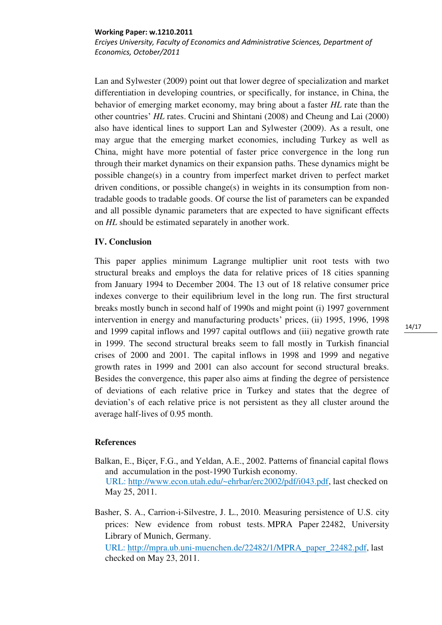*Erciyes University, Faculty of Economics and Administrative Sciences, Department of Economics, October/2011* 

Lan and Sylwester (2009) point out that lower degree of specialization and market differentiation in developing countries, or specifically, for instance, in China, the behavior of emerging market economy, may bring about a faster *HL* rate than the other countries' *HL* rates. Crucini and Shintani (2008) and Cheung and Lai (2000) also have identical lines to support Lan and Sylwester (2009). As a result, one may argue that the emerging market economies, including Turkey as well as China, might have more potential of faster price convergence in the long run through their market dynamics on their expansion paths. These dynamics might be possible change(s) in a country from imperfect market driven to perfect market driven conditions, or possible change(s) in weights in its consumption from nontradable goods to tradable goods. Of course the list of parameters can be expanded and all possible dynamic parameters that are expected to have significant effects on *HL* should be estimated separately in another work.

# **IV. Conclusion**

This paper applies minimum Lagrange multiplier unit root tests with two structural breaks and employs the data for relative prices of 18 cities spanning from January 1994 to December 2004. The 13 out of 18 relative consumer price indexes converge to their equilibrium level in the long run. The first structural breaks mostly bunch in second half of 1990s and might point (i) 1997 government intervention in energy and manufacturing products' prices, (ii) 1995, 1996, 1998 and 1999 capital inflows and 1997 capital outflows and (iii) negative growth rate in 1999. The second structural breaks seem to fall mostly in Turkish financial crises of 2000 and 2001. The capital inflows in 1998 and 1999 and negative growth rates in 1999 and 2001 can also account for second structural breaks. Besides the convergence, this paper also aims at finding the degree of persistence of deviations of each relative price in Turkey and states that the degree of deviation's of each relative price is not persistent as they all cluster around the average half-lives of 0.95 month.

# **References**

- Balkan, E., Biçer, F.G., and Yeldan, A.E., 2002. Patterns of financial capital flows and accumulation in the post-1990 Turkish economy. URL: [http://www.econ.utah.edu/~ehrbar/erc2002/pdf/i043.pdf,](http://www.econ.utah.edu/~ehrbar/erc2002/pdf/i043.pdf) last checked on May 25, 2011.
- Basher, S. A., Carrion-i-Silvestre, J. L., 2010. [Measuring persistence of U.S. city](http://ideas.repec.org/p/pra/mprapa/22482.html)  [prices: New evidence from robust tests.](http://ideas.repec.org/p/pra/mprapa/22482.html) [MPRA Paper](http://ideas.repec.org/s/pra/mprapa.html) 22482, University Library of Munich, Germany.

URL: [http://mpra.ub.uni-muenchen.de/22482/1/MPRA\\_paper\\_22482.pdf,](http://mpra.ub.uni-muenchen.de/22482/1/MPRA_paper_22482.pdf) last checked on May 23, 2011.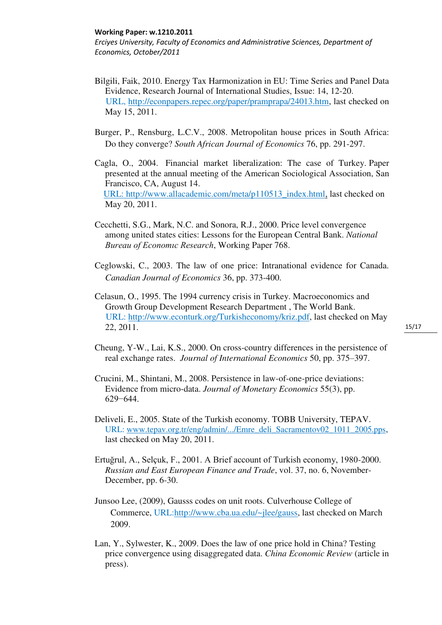*Erciyes University, Faculty of Economics and Administrative Sciences, Department of Economics, October/2011* 

- Bilgili, Faik, 2010. Energy Tax Harmonization in EU: Time Series and Panel Data Evidence, Research Journal of International Studies, Issue: 14, 12-20. URL, [http://econpapers.repec.org/paper/pramprapa/24013.htm,](http://econpapers.repec.org/paper/pramprapa/24013.htm) last checked on May 15, 2011.
- Burger, P., Rensburg, L.C.V., 2008. Metropolitan house prices in South Africa: Do they converge? *South African Journal of Economics* 76, pp. 291-297.
- Cagla, O., 2004. Financial market liberalization: The case of Turkey. Paper presented at the annual meeting of the American Sociological Association, San Francisco, CA, August 14. URL: [http://www.allacademic.com/meta/p110513\\_index.html,](http://www.allacademic.com/meta/p110513_index.html) last checked on May 20, 2011.
- Cecchetti, S.G., Mark, N.C. and Sonora, R.J., 2000. Price level convergence among united states cities: Lessons for the European Central Bank. *National Bureau of Economıc Research*, Working Paper 768.
- Ceglowski, C., 2003. The law of one price: Intranational evidence for Canada. *Canadian Journal of Economics* 36, pp. 373-400.
- Celasun, O., 1995. The 1994 currency crisis in Turkey. Macroeconomics and Growth Group Development Research Department , The World Bank. URL: http://www.econturk.org/Turkisheconomy/kriz.pdf, last checked on May 22, 2011.
- Cheung, Y-W., Lai, K.S., 2000. On cross-country differences in the persistence of real exchange rates. *Journal of International Economics* 50, pp. 375–397.
- Crucini, M., Shintani, M., 2008. Persistence in law-of-one-price deviations: Evidence from micro-data. *Journal of Monetary Economics* 55(3), pp. 629−644.
- Deliveli, E., 2005. State of the Turkish economy. TOBB University, TEPAV. URL: [www.tepav.org.tr/eng/admin/.../Emre\\_deli\\_Sacramentov02\\_1011\\_2005.pps,](http://www.tepav.org.tr/eng/admin/.../Emre_deli_Sacramentov02_1011_2005.pps) last checked on May 20, 2011.
- Ertuğrul, A., Selçuk, F., 2001. A Brief account of Turkish economy, 1980-2000. *Russian and East European Finance and Trade*, vol. 37, no. 6, November-December, pp. 6-30.
- Junsoo Lee, (2009), Gausss codes on unit roots. Culverhouse College of Commerce, URL[:http://www.cba.ua.edu/~jlee/gauss,](http://www.cba.ua.edu/~jlee/gauss) last checked on March 2009.
- Lan, Y., Sylwester, K., 2009. Does the law of one price hold in China? Testing price convergence using disaggregated data. *China Economic Review* (article in press).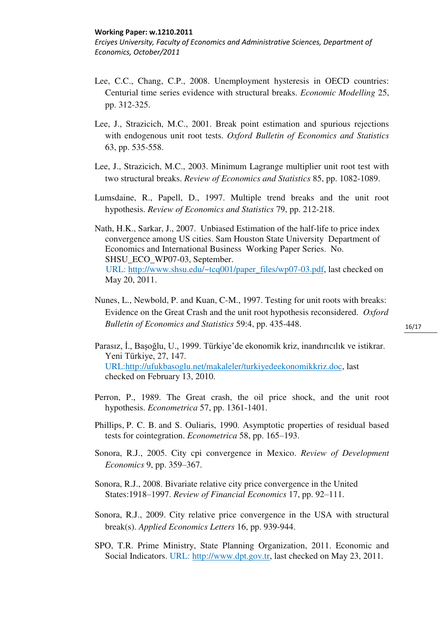*Erciyes University, Faculty of Economics and Administrative Sciences, Department of Economics, October/2011* 

- Lee, C.C., Chang, C.P., 2008. Unemployment hysteresis in OECD countries: Centurial time series evidence with structural breaks. *Economic Modelling* 25, pp. 312-325.
- Lee, J., Strazicich, M.C., 2001. Break point estimation and spurious rejections with endogenous unit root tests. *Oxford Bulletin of Economics and Statistics* 63, pp. 535-558.
- Lee, J., Strazicich, M.C., 2003. Minimum Lagrange multiplier unit root test with two structural breaks. *Review of Economics and Statistics* 85, pp. 1082-1089.
- Lumsdaine, R., Papell, D., 1997. Multiple trend breaks and the unit root hypothesis. *Review of Economics and Statistics* 79, pp. 212-218.
- Nath, H.K., Sarkar, J., 2007. Unbiased Estimation of the half-life to price index convergence among US cities. Sam Houston State University Department of Economics and International Business Working Paper Series. No. SHSU\_ECO\_WP07-03, September. URL: [http://www.shsu.edu/~tcq001/paper\\_files/wp07-03.pdf,](http://www.shsu.edu/~tcq001/paper_files/wp07-03.pdf) last checked on May 20, 2011.
- Nunes, L., Newbold, P. and Kuan, C-M., 1997. Testing for unit roots with breaks: Evidence on the Great Crash and the unit root hypothesis reconsidered. *Oxford Bulletin of Economics and Statistics* 59:4, pp. 435-448.
- Parasız, İ., Başoğlu, U., 1999. Türkiye'de ekonomik kriz, inandırıcılık ve istikrar. Yeni Türkiye, 27, 147. URL[:http://ufukbasoglu.net/makaleler/turkiyedeekonomikkriz.doc,](http://ufukbasoglu.net/makaleler/turkiyedeekonomikkriz.doc) last checked on February 13, 2010.
- Perron, P., 1989. The Great crash, the oil price shock, and the unit root hypothesis. *Econometrica* 57, pp. 1361-1401.
- Phillips, P. C. B. and S. Ouliaris, 1990. Asymptotic properties of residual based tests for cointegration. *Econometrica* 58, pp. 165–193.
- Sonora, R.J., 2005. City cpi convergence in Mexico. *Review of Development Economics* 9, pp. 359–367.
- Sonora, R.J., 2008. Bivariate relative city price convergence in the United States:1918–1997. *Review of Financial Economics* 17, pp. 92–111.
- Sonora, R.J., 2009. City relative price convergence in the USA with structural break(s). *Applied Economics Letters* 16, pp. 939-944.
- SPO, T.R. Prime Ministry, State Planning Organization, 2011. Economic and Social Indicators. URL: [http://www.dpt.gov.tr,](http://www.dpt.gov.tr/) last checked on May 23, 2011.